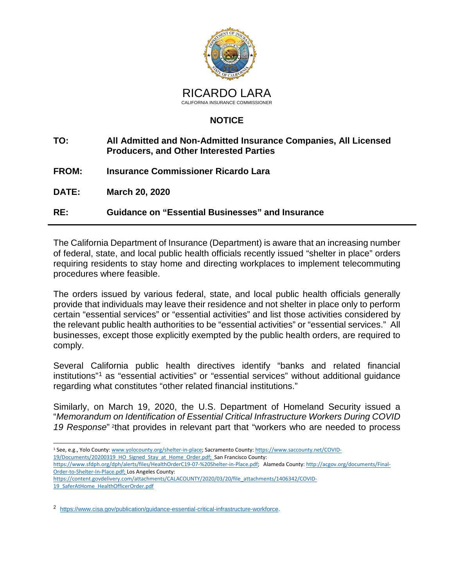

## **NOTICE**

- **TO: All Admitted and Non-Admitted Insurance Companies, All Licensed Producers, and Other Interested Parties**
- **FROM: Insurance Commissioner Ricardo Lara**
- **DATE: March 20, 2020**

**RE: Guidance on "Essential Businesses" and Insurance**

The California Department of Insurance (Department) is aware that an increasing number of federal, state, and local public health officials recently issued "shelter in place" orders requiring residents to stay home and directing workplaces to implement telecommuting procedures where feasible.

The orders issued by various federal, state, and local public health officials generally provide that individuals may leave their residence and not shelter in place only to perform certain "essential services" or "essential activities" and list those activities considered by the relevant public health authorities to be "essential activities" or "essential services." All businesses, except those explicitly exempted by the public health orders, are required to comply.

Several California public health directives identify "banks and related financial institutions"<sup>[1](#page-0-0)</sup> as "essential activities" or "essential services" without additional quidance regarding what constitutes "other related financial institutions."

Similarly, on March 19, 2020, the U.S. Department of Homeland Security issued a "*Memorandum on Identification of Essential Critical Infrastructure Workers During COVID 19 Response*" [2](#page-0-1)that provides in relevant part that "workers who are needed to process

<span id="page-0-0"></span><sup>1</sup> See, e.g., Yolo County: [www.yolocounty.org/shelter-in-place;](https://www.yolocounty.org/health-human-services/adults/communicable-disease-investigation-and-control/novel-coronavirus-2019/shelter-in-place) Sacramento County[: https://www.saccounty.net/COVID-](https://www.saccounty.net/COVID-19/Documents/20200319_HO_Signed_Stay_at_Home_Order.pdf)[19/Documents/20200319\\_HO\\_Signed\\_Stay\\_at\\_Home\\_Order.pdf;](https://www.saccounty.net/COVID-19/Documents/20200319_HO_Signed_Stay_at_Home_Order.pdf) San Francisco County:

[https://www.sfdph.org/dph/alerts/files/HealthOrderC19-07-%20Shelter-in-Place.pdf;](https://www.sfdph.org/dph/alerts/files/HealthOrderC19-07-%20Shelter-in-Place.pdf) Alameda County[: http://acgov.org/documents/Final-](http://acgov.org/documents/Final-Order-to-Shelter-In-Place.pdf)[Order-to-Shelter-In-Place.pdf;](http://acgov.org/documents/Final-Order-to-Shelter-In-Place.pdf) Los Angeles County:

[https://content.govdelivery.com/attachments/CALACOUNTY/2020/03/20/file\\_attachments/1406342/COVID-](https://content.govdelivery.com/attachments/CALACOUNTY/2020/03/20/file_attachments/1406342/COVID-19_SaferAtHome_HealthOfficerOrder.pdf)[19\\_SaferAtHome\\_HealthOfficerOrder.pdf](https://content.govdelivery.com/attachments/CALACOUNTY/2020/03/20/file_attachments/1406342/COVID-19_SaferAtHome_HealthOfficerOrder.pdf)

<span id="page-0-1"></span>2 [https://www.cisa.gov/publication/guidance-essential-critical-infrastructure-workforce.](https://www.cisa.gov/publication/guidance-essential-critical-infrastructure-workforce)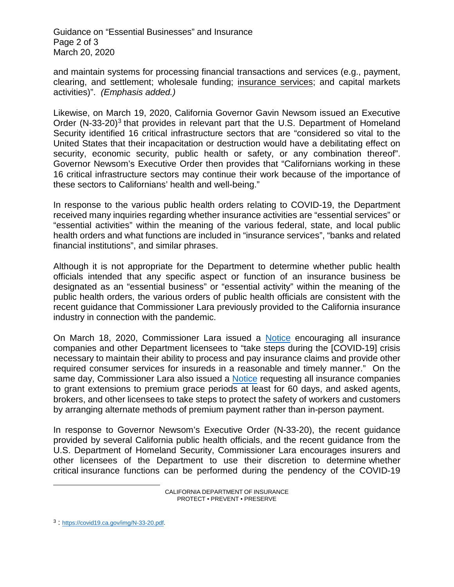Guidance on "Essential Businesses" and Insurance Page 2 of 3 March 20, 2020

and maintain systems for processing financial transactions and services (e.g., payment, clearing, and settlement; wholesale funding; insurance services; and capital markets activities)". *(Emphasis added.)*

Likewise, on March 19, 2020, California Governor Gavin Newsom issued an Executive Order (N-[3](#page-1-0)3-20)<sup>3</sup> that provides in relevant part that the U.S. Department of Homeland Security identified 16 critical infrastructure sectors that are "considered so vital to the United States that their incapacitation or destruction would have a debilitating effect on security, economic security, public health or safety, or any combination thereof". Governor Newsom's Executive Order then provides that "Californians working in these 16 critical infrastructure sectors may continue their work because of the importance of these sectors to Californians' health and well-being."

In response to the various public health orders relating to COVID-19, the Department received many inquiries regarding whether insurance activities are "essential services" or "essential activities" within the meaning of the various federal, state, and local public health orders and what functions are included in "insurance services", "banks and related financial institutions", and similar phrases.

Although it is not appropriate for the Department to determine whether public health officials intended that any specific aspect or function of an insurance business be designated as an "essential business" or "essential activity" within the meaning of the public health orders, the various orders of public health officials are consistent with the recent guidance that Commissioner Lara previously provided to the California insurance industry in connection with the pandemic.

On March 18, 2020, Commissioner Lara issued [a Notice](http://www.insurance.ca.gov/0250-insurers/0300-insurers/0200-bulletins/bulletin-notices-commiss-opinion/upload/Insurance-Laws-COVID-19-Notice-03_18_20_With_Seal_1249pm_Final.pdf) encouraging all insurance companies and other Department licensees to "take steps during the [COVID-19] crisis necessary to maintain their ability to process and pay insurance claims and provide other required consumer services for insureds in a reasonable and timely manner." On the same day, Commissioner Lara also issued a [Notice](http://www.insurance.ca.gov/0400-news/0100-press-releases/2020/upload/nr030-BillingGracePeriodNotice03182020.pdf) requesting all insurance companies to grant extensions to premium grace periods at least for 60 days, and asked agents, brokers, and other licensees to take steps to protect the safety of workers and customers by arranging alternate methods of premium payment rather than in-person payment.

In response to Governor Newsom's Executive Order (N-33-20), the recent guidance provided by several California public health officials, and the recent guidance from the U.S. Department of Homeland Security, Commissioner Lara encourages insurers and other licensees of the Department to use their discretion to determine whether critical insurance functions can be performed during the pendency of the COVID-19

<span id="page-1-0"></span><sup>3 :</sup> [https://covid19.ca.gov/img/N-33-20.pdf.](https://covid19.ca.gov/img/N-33-20.pdf)